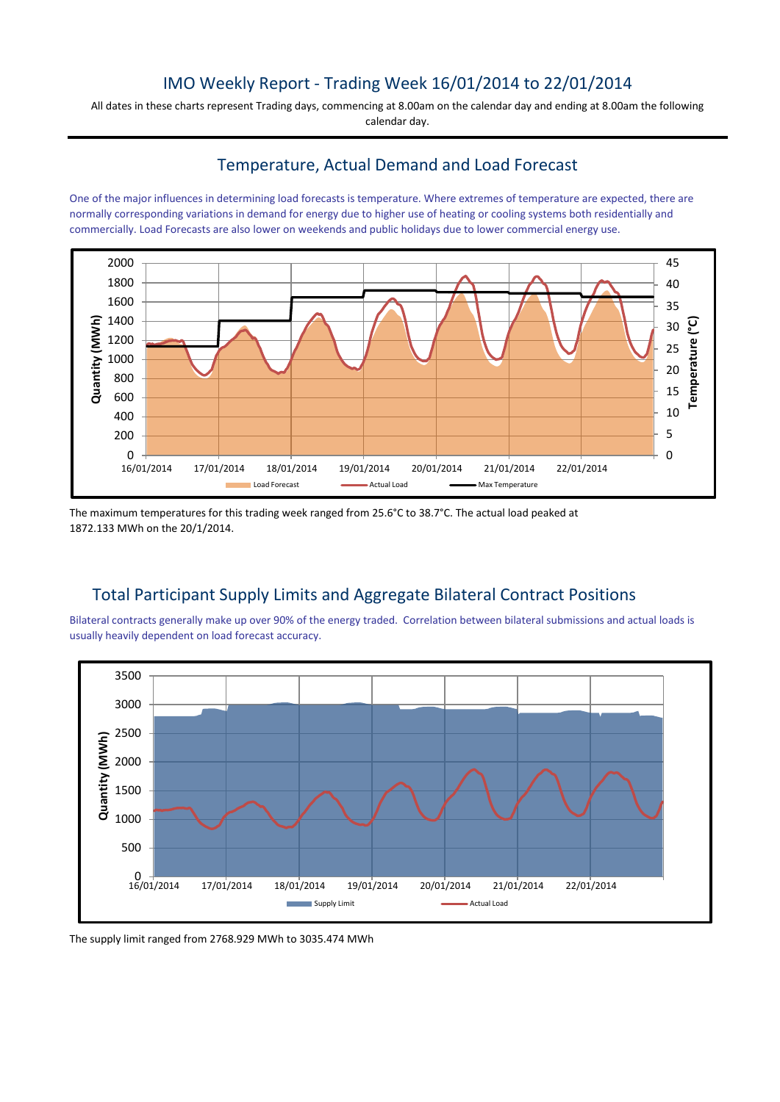### IMO Weekly Report - Trading Week 16/01/2014 to 22/01/2014

All dates in these charts represent Trading days, commencing at 8.00am on the calendar day and ending at 8.00am the following calendar day.

#### Temperature, Actual Demand and Load Forecast

One of the major influences in determining load forecasts is temperature. Where extremes of temperature are expected, there are normally corresponding variations in demand for energy due to higher use of heating or cooling systems both residentially and commercially. Load Forecasts are also lower on weekends and public holidays due to lower commercial energy use.



The maximum temperatures for this trading week ranged from 25.6°C to 38.7°C. The actual load peaked at 1872.133 MWh on the 20/1/2014.

# Total Participant Supply Limits and Aggregate Bilateral Contract Positions

Bilateral contracts generally make up over 90% of the energy traded. Correlation between bilateral submissions and actual loads is usually heavily dependent on load forecast accuracy.



The supply limit ranged from 2768.929 MWh to 3035.474 MWh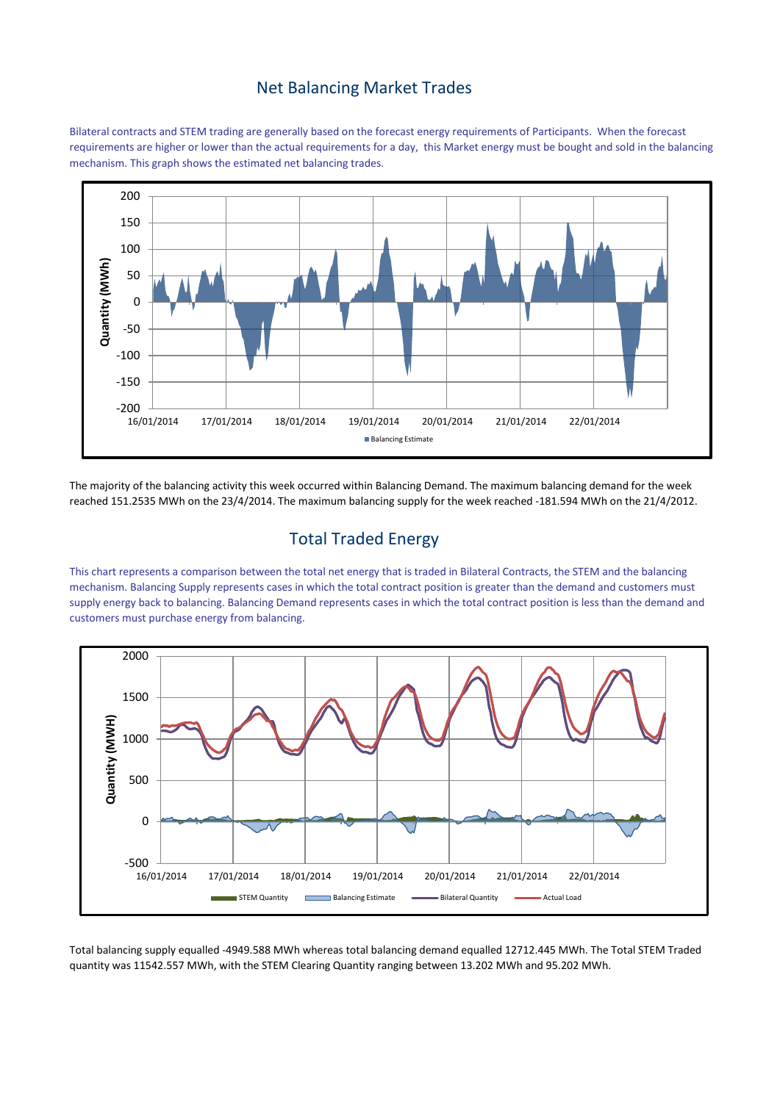#### Net Balancing Market Trades

Bilateral contracts and STEM trading are generally based on the forecast energy requirements of Participants. When the forecast requirements are higher or lower than the actual requirements for a day, this Market energy must be bought and sold in the balancing mechanism. This graph shows the estimated net balancing trades.



The majority of the balancing activity this week occurred within Balancing Demand. The maximum balancing demand for the week reached 151.2535 MWh on the 23/4/2014. The maximum balancing supply for the week reached -181.594 MWh on the 21/4/2012.

# Total Traded Energy

This chart represents a comparison between the total net energy that is traded in Bilateral Contracts, the STEM and the balancing mechanism. Balancing Supply represents cases in which the total contract position is greater than the demand and customers must supply energy back to balancing. Balancing Demand represents cases in which the total contract position is less than the demand and customers must purchase energy from balancing.



Total balancing supply equalled -4949.588 MWh whereas total balancing demand equalled 12712.445 MWh. The Total STEM Traded quantity was 11542.557 MWh, with the STEM Clearing Quantity ranging between 13.202 MWh and 95.202 MWh.